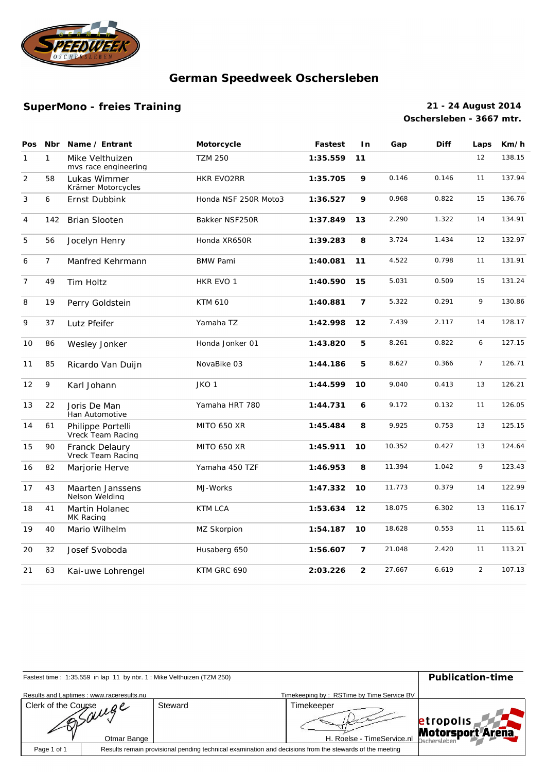

### **SuperMono - freies Training 21 - 24 August 2014**

# **Oschersleben - 3667 mtr.**

| Pos            | <b>Nbr</b>      | Name / Entrant                          | Motorcycle           | <b>Fastest</b> | In             | Gap    | <b>Diff</b> | Laps           | Km/h   |
|----------------|-----------------|-----------------------------------------|----------------------|----------------|----------------|--------|-------------|----------------|--------|
| $\mathbf{1}$   | $\mathbf{1}$    | Mike Velthuizen<br>mvs race engineering | <b>TZM250</b>        | 1:35.559       | 11             |        |             | 12             | 138.15 |
| 2              | 58              | Lukas Wimmer<br>Krämer Motorcycles      | <b>HKR EVO2RR</b>    | 1:35.705       | 9              | 0.146  | 0.146       | 11             | 137.94 |
| 3              | 6               | Ernst Dubbink                           | Honda NSF 250R Moto3 | 1:36.527       | 9              | 0.968  | 0.822       | 15             | 136.76 |
| $\overline{4}$ | 142             | <b>Brian Slooten</b>                    | Bakker NSF250R       | 1:37.849       | 13             | 2.290  | 1.322       | 14             | 134.91 |
| 5              | 56              | Jocelyn Henry                           | Honda XR650R         | 1:39.283       | 8              | 3.724  | 1.434       | 12             | 132.97 |
| 6              | $7\overline{ }$ | Manfred Kehrmann                        | <b>BMW Pami</b>      | 1:40.081       | 11             | 4.522  | 0.798       | 11             | 131.91 |
| $\overline{7}$ | 49              | Tim Holtz                               | HKR EVO 1            | 1:40.590       | 15             | 5.031  | 0.509       | 15             | 131.24 |
| 8              | 19              | Perry Goldstein                         | KTM 610              | 1:40.881       | $\overline{7}$ | 5.322  | 0.291       | 9              | 130.86 |
| 9              | 37              | Lutz Pfeifer                            | Yamaha TZ            | 1:42.998       | $12 \,$        | 7.439  | 2.117       | 14             | 128.17 |
| 10             | 86              | Wesley Jonker                           | Honda Jonker 01      | 1:43.820       | 5              | 8.261  | 0.822       | 6              | 127.15 |
| 11             | 85              | Ricardo Van Duijn                       | NovaBike 03          | 1:44.186       | 5              | 8.627  | 0.366       | $\overline{7}$ | 126.71 |
| 12             | 9               | Karl Johann                             | JKO <sub>1</sub>     | 1:44.599       | 10             | 9.040  | 0.413       | 13             | 126.21 |
| 13             | 22              | Joris De Man<br>Han Automotive          | Yamaha HRT 780       | 1:44.731       | 6              | 9.172  | 0.132       | 11             | 126.05 |
| 14             | 61              | Philippe Portelli<br>Vreck Team Racing  | MITO 650 XR          | 1:45.484       | 8              | 9.925  | 0.753       | 13             | 125.15 |
| 15             | 90              | Franck Delaury<br>Vreck Team Racing     | MITO 650 XR          | 1:45.911       | 10             | 10.352 | 0.427       | 13             | 124.64 |
| 16             | 82              | Marjorie Herve                          | Yamaha 450 TZF       | 1:46.953       | 8              | 11.394 | 1.042       | 9              | 123.43 |
| 17             | 43              | Maarten Janssens<br>Nelson Welding      | MJ-Works             | 1:47.332       | 10             | 11.773 | 0.379       | 14             | 122.99 |
| 18             | 41              | Martin Holanec<br>MK Racing             | <b>KTM LCA</b>       | 1:53.634       | 12             | 18.075 | 6.302       | 13             | 116.17 |
| 19             | 40              | Mario Wilhelm                           | MZ Skorpion          | 1:54.187       | 10             | 18.628 | 0.553       | 11             | 115.61 |
| 20             | 32              | Josef Svoboda                           | Husaberg 650         | 1:56.607       | $\overline{7}$ | 21.048 | 2.420       | 11             | 113.21 |
| 21             | 63              | Kai-uwe Lohrengel                       | KTM GRC 690          | 2:03.226       | $\overline{2}$ | 27.667 | 6.619       | 2              | 107.13 |

| Fastest time: 1:35.559 in lap 11 by nbr. 1: Mike Velthuizen (TZM 250) | <b>Publication-time</b> |         |                                                                                                         |                                      |
|-----------------------------------------------------------------------|-------------------------|---------|---------------------------------------------------------------------------------------------------------|--------------------------------------|
| Results and Laptimes: www.raceresults.nu                              |                         |         | Timekeeping by: RSTime by Time Service BV                                                               |                                      |
| Clerk of the Course                                                   | cruge<br>Otmar Bange    | Steward | Timekeeper<br>H. Roelse - TimeService.nl Dschersleben                                                   | etropolis<br><b>Motorsport Arena</b> |
| Page 1 of 1                                                           |                         |         | Results remain provisional pending technical examination and decisions from the stewards of the meeting |                                      |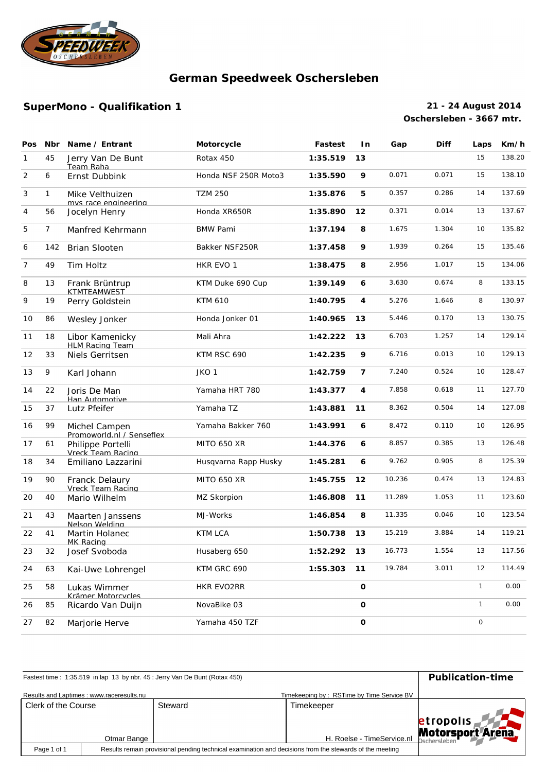

### **SuperMono - Qualifikation 1 21 - 24 August 2014**

# **Oschersleben - 3667 mtr.**

|                | Pos Nbr        | Name / Entrant                             | Motorcycle           | <b>Fastest</b> | I n                     | Gap    | <b>Diff</b> | Laps         | Km/h   |
|----------------|----------------|--------------------------------------------|----------------------|----------------|-------------------------|--------|-------------|--------------|--------|
| $\mathbf{1}$   | 45             | Jerry Van De Bunt<br>Team Raha             | Rotax 450            | 1:35.519       | 13                      |        |             | 15           | 138.20 |
| 2              | 6              | <b>Ernst Dubbink</b>                       | Honda NSF 250R Moto3 | 1:35.590       | 9                       | 0.071  | 0.071       | 15           | 138.10 |
| 3              | $\mathbf{1}$   | Mike Velthuizen<br>mys race engineering    | <b>TZM 250</b>       | 1:35.876       | 5                       | 0.357  | 0.286       | 14           | 137.69 |
| 4              | 56             | Jocelyn Henry                              | Honda XR650R         | 1:35.890       | 12                      | 0.371  | 0.014       | 13           | 137.67 |
| 5              | $\overline{7}$ | Manfred Kehrmann                           | <b>BMW Pami</b>      | 1:37.194       | 8                       | 1.675  | 1.304       | 10           | 135.82 |
| 6              | 142            | <b>Brian Slooten</b>                       | Bakker NSF250R       | 1:37.458       | 9                       | 1.939  | 0.264       | 15           | 135.46 |
| $\overline{7}$ | 49             | Tim Holtz                                  | HKR EVO 1            | 1:38.475       | 8                       | 2.956  | 1.017       | 15           | 134.06 |
| 8              | 13             | Frank Brüntrup<br>KTMTFAMWEST              | KTM Duke 690 Cup     | 1:39.149       | 6                       | 3.630  | 0.674       | 8            | 133.15 |
| 9              | 19             | Perry Goldstein                            | KTM 610              | 1:40.795       | 4                       | 5.276  | 1.646       | 8            | 130.97 |
| 10             | 86             | Wesley Jonker                              | Honda Jonker 01      | 1:40.965       | 13                      | 5.446  | 0.170       | 13           | 130.75 |
| 11             | 18             | Libor Kamenicky<br><b>HLM Racing Team</b>  | Mali Ahra            | 1:42.222       | 13                      | 6.703  | 1.257       | 14           | 129.14 |
| 12             | 33             | Niels Gerritsen                            | KTM RSC 690          | 1:42.235       | 9                       | 6.716  | 0.013       | 10           | 129.13 |
| 13             | 9              | Karl Johann                                | JKO <sub>1</sub>     | 1:42.759       | $\overline{\mathbf{z}}$ | 7.240  | 0.524       | 10           | 128.47 |
| 14             | 22             | Joris De Man<br>Han Automotive             | Yamaha HRT 780       | 1:43.377       | 4                       | 7.858  | 0.618       | 11           | 127.70 |
| 15             | 37             | Lutz Pfeifer                               | Yamaha TZ            | 1:43.881       | 11                      | 8.362  | 0.504       | 14           | 127.08 |
| 16             | 99             | Michel Campen<br>Promoworld nl / Senseflex | Yamaha Bakker 760    | 1:43.991       | 6                       | 8.472  | 0.110       | 10           | 126.95 |
| 17             | 61             | Philippe Portelli<br>Vreck Team Racing     | MITO 650 XR          | 1:44.376       | 6                       | 8.857  | 0.385       | 13           | 126.48 |
| 18             | 34             | Emiliano Lazzarini                         | Husqvarna Rapp Husky | 1:45.281       | 6                       | 9.762  | 0.905       | 8            | 125.39 |
| 19             | 90             | Franck Delaury<br>Vreck Team Racing        | MITO 650 XR          | 1:45.755       | 12                      | 10.236 | 0.474       | 13           | 124.83 |
| 20             | 40             | Mario Wilhelm                              | MZ Skorpion          | 1:46.808       | 11                      | 11.289 | 1.053       | 11           | 123.60 |
| 21             | 43             | Maarten Janssens<br>Nelson Weldina         | MJ-Works             | 1:46.854       | 8                       | 11.335 | 0.046       | 10           | 123.54 |
| 22             | 41             | Martin Holanec<br>MK Racing                | <b>KTM LCA</b>       | 1:50.738       | 13                      | 15.219 | 3.884       | 14           | 119.21 |
| 23             | 32             | Josef Svoboda                              | Husaberg 650         | 1:52.292       | 13                      | 16.773 | 1.554       | 13           | 117.56 |
| 24             | 63             | Kai-Uwe Lohrengel                          | KTM GRC 690          | 1:55.303       | 11                      | 19.784 | 3.011       | 12           | 114.49 |
| 25             | 58             | Lukas Wimmer<br>Krämer Motorcycles         | HKR EVO2RR           |                | $\mathbf O$             |        |             | $\mathbf{1}$ | 0.00   |
| 26             | 85             | Ricardo Van Duijn                          | NovaBike 03          |                | O                       |        |             | $\mathbf{1}$ | 0.00   |
| 27             | 82             | Marjorie Herve                             | Yamaha 450 TZF       |                | O                       |        |             | $\mathsf O$  |        |

|                                                                                                                        | Fastest time: 1:35.519 in lap 13 by nbr. 45 : Jerry Van De Bunt (Rotax 450) |  |                                           |                                |  |  |  |
|------------------------------------------------------------------------------------------------------------------------|-----------------------------------------------------------------------------|--|-------------------------------------------|--------------------------------|--|--|--|
|                                                                                                                        | Results and Laptimes: www.raceresults.nu                                    |  | Timekeeping by: RSTime by Time Service BV |                                |  |  |  |
| Clerk of the Course<br>Steward                                                                                         |                                                                             |  | Timekeeper                                |                                |  |  |  |
|                                                                                                                        |                                                                             |  |                                           |                                |  |  |  |
|                                                                                                                        | Otmar Bange                                                                 |  | H. Roelse - TimeService.nl                | et ropolis<br>Motorsport Arena |  |  |  |
| Results remain provisional pending technical examination and decisions from the stewards of the meeting<br>Page 1 of 1 |                                                                             |  |                                           |                                |  |  |  |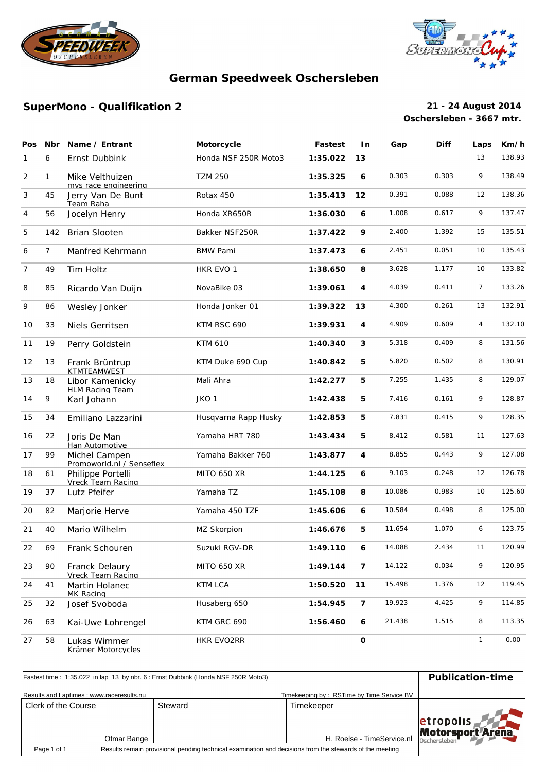



## **SuperMono - Qualifikation 2 21 - 24 August 2014**

## **Oschersleben - 3667 mtr.**

| Pos            | Nbr            | Name / Entrant                             | Motorcycle           | Fastest<br>In.<br>Gap |         | <b>Diff</b> | Laps  | Km/h           |        |
|----------------|----------------|--------------------------------------------|----------------------|-----------------------|---------|-------------|-------|----------------|--------|
| $\mathbf{1}$   | 6              | <b>Ernst Dubbink</b>                       | Honda NSF 250R Moto3 | 1:35.022              | 13      |             |       | 13             | 138.93 |
| 2              | $\mathbf{1}$   | Mike Velthuizen<br>mvs race engineering    | <b>TZM 250</b>       | 1:35.325              | 6       | 0.303       | 0.303 | 9              | 138.49 |
| 3              | 45             | Jerry Van De Bunt<br>Team Raha             | Rotax 450            | 1:35.413              | $12 \,$ | 0.391       | 0.088 | 12             | 138.36 |
| 4              | 56             | Jocelyn Henry                              | Honda XR650R         | 1:36.030              | 6       | 1.008       | 0.617 | 9              | 137.47 |
| 5              | 142            | <b>Brian Slooten</b>                       | Bakker NSF250R       | 1:37.422              | 9       | 2.400       | 1.392 | 15             | 135.51 |
| 6              | $\overline{7}$ | Manfred Kehrmann                           | <b>BMW Pami</b>      | 1:37.473              | 6       | 2.451       | 0.051 | 10             | 135.43 |
| $\overline{7}$ | 49             | Tim Holtz                                  | HKR EVO 1            | 1:38.650              | 8       | 3.628       | 1.177 | 10             | 133.82 |
| 8              | 85             | Ricardo Van Duijn                          | NovaBike 03          | 1:39.061              | 4       | 4.039       | 0.411 | $\overline{7}$ | 133.26 |
| 9              | 86             | Wesley Jonker                              | Honda Jonker 01      | 1:39.322              | 13      | 4.300       | 0.261 | 13             | 132.91 |
| 10             | 33             | Niels Gerritsen                            | KTM RSC 690          | 1:39.931              | 4       | 4.909       | 0.609 | $\overline{4}$ | 132.10 |
| 11             | 19             | Perry Goldstein                            | KTM 610              | 1:40.340              | 3       | 5.318       | 0.409 | 8              | 131.56 |
| 12             | 13             | Frank Brüntrup<br>KTMTEAMWEST              | KTM Duke 690 Cup     | 1:40.842              | 5       | 5.820       | 0.502 | 8              | 130.91 |
| 13             | 18             | Libor Kamenicky<br><b>HLM Racing Team</b>  | Mali Ahra            | 1:42.277              | 5       | 7.255       | 1.435 | 8              | 129.07 |
| 14             | 9              | Karl Johann                                | JKO <sub>1</sub>     | 1:42.438              | 5       | 7.416       | 0.161 | 9              | 128.87 |
| 15             | 34             | Emiliano Lazzarini                         | Husqvarna Rapp Husky | 1:42.853              | 5       | 7.831       | 0.415 | 9              | 128.35 |
| 16             | 22             | Joris De Man<br>Han Automotive             | Yamaha HRT 780       | 1:43.434              | 5       | 8.412       | 0.581 | 11             | 127.63 |
| 17             | 99             | Michel Campen<br>Promoworld.nl / Senseflex | Yamaha Bakker 760    | 1:43.877              | 4       | 8.855       | 0.443 | 9              | 127.08 |
| 18             | 61             | Philippe Portelli<br>Vreck Team Racing     | MITO 650 XR          | 1:44.125              | 6       | 9.103       | 0.248 | 12             | 126.78 |
| 19             | 37             | Lutz Pfeifer                               | Yamaha TZ            | 1:45.108              | 8       | 10.086      | 0.983 | 10             | 125.60 |
| 20             | 82             | Marjorie Herve                             | Yamaha 450 TZF       | 1:45.606              | 6       | 10.584      | 0.498 | 8              | 125.00 |
| 21             | 40             | Mario Wilhelm                              | MZ Skorpion          | 1:46.676              | 5       | 11.654      | 1.070 | 6              | 123.75 |
| 22             | 69             | Frank Schouren                             | Suzuki RGV-DR        | 1:49.110              | 6       | 14.088      | 2.434 | 11             | 120.99 |
| 23             | 90             | Franck Delaury<br>Vreck Team Racing        | MITO 650 XR          | 1:49.144              | 7       | 14.122      | 0.034 | 9              | 120.95 |
| 24             | 41             | Martin Holanec<br>MK Racing                | <b>KTM LCA</b>       | 1:50.520              | 11      | 15.498      | 1.376 | 12             | 119.45 |
| 25             | 32             | Josef Svoboda                              | Husaberg 650         | 1:54.945              | 7       | 19.923      | 4.425 | 9              | 114.85 |
| 26             | 63             | Kai-Uwe Lohrengel                          | KTM GRC 690          | 1:56.460              | 6       | 21.438      | 1.515 | 8              | 113.35 |
| 27             | 58             | Lukas Wimmer<br>Krämer Motorcycles         | HKR EVO2RR           |                       | O       |             |       | $\mathbf{1}$   | 0.00   |

|                     | Fastest time: 1:35.022 in lap 13 by nbr. 6 : Ernst Dubbink (Honda NSF 250R Moto3) |         |                                           |                                                          |  |  |
|---------------------|-----------------------------------------------------------------------------------|---------|-------------------------------------------|----------------------------------------------------------|--|--|
|                     | Results and Laptimes: www.raceresults.nu                                          |         | Timekeeping by: RSTime by Time Service BV |                                                          |  |  |
| Clerk of the Course |                                                                                   | Steward | Timekeeper                                |                                                          |  |  |
|                     |                                                                                   |         |                                           |                                                          |  |  |
|                     |                                                                                   |         |                                           | etropolis<br>H. Roelse - TimeService.nl Motorsport Arena |  |  |
|                     | Otmar Bange                                                                       |         |                                           |                                                          |  |  |
| Page 1 of 1         |                                                                                   |         |                                           |                                                          |  |  |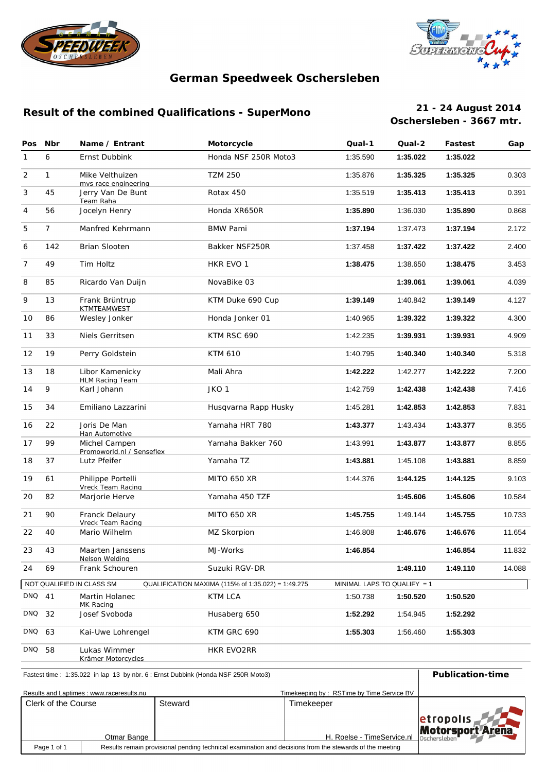



#### **Result of the combined Qualifications - SuperMono**

#### **21 - 24 August 2014 Oschersleben - 3667 mtr.**

|                | Pos Nbr        | Name / Entrant                             | Motorcycle                                         | Qual-1                      | Qual-2   | Fastest  | Gap    |
|----------------|----------------|--------------------------------------------|----------------------------------------------------|-----------------------------|----------|----------|--------|
| 1              | 6              | Ernst Dubbink                              | Honda NSF 250R Moto3                               | 1:35.590                    | 1:35.022 | 1:35.022 |        |
| 2              | $\mathbf{1}$   | Mike Velthuizen<br>mvs race engineering    | <b>TZM 250</b>                                     | 1:35.876                    | 1:35.325 | 1:35.325 | 0.303  |
| 3              | 45             | Jerry Van De Bunt<br>Team Raha             | Rotax 450                                          | 1:35.519                    | 1:35.413 | 1:35.413 | 0.391  |
| 4              | 56             | Jocelyn Henry                              | Honda XR650R                                       | 1:35.890                    | 1:36.030 | 1:35.890 | 0.868  |
| 5              | $\overline{7}$ | Manfred Kehrmann                           | <b>BMW Pami</b>                                    | 1:37.194                    | 1:37.473 | 1:37.194 | 2.172  |
| 6              | 142            | Brian Slooten                              | Bakker NSF250R                                     | 1:37.458                    | 1:37.422 | 1:37.422 | 2.400  |
| $\overline{7}$ | 49             | Tim Holtz                                  | HKR EVO 1                                          | 1:38.475                    | 1:38.650 | 1:38.475 | 3.453  |
| 8              | 85             | Ricardo Van Duijn                          | NovaBike 03                                        |                             | 1:39.061 | 1:39.061 | 4.039  |
| 9              | 13             | Frank Brüntrup<br>KTMTEAMWEST              | KTM Duke 690 Cup                                   | 1:39.149                    | 1:40.842 | 1:39.149 | 4.127  |
| 10             | 86             | Wesley Jonker                              | Honda Jonker 01                                    | 1:40.965                    | 1:39.322 | 1:39.322 | 4.300  |
| 11             | 33             | Niels Gerritsen                            | KTM RSC 690                                        | 1:42.235                    | 1:39.931 | 1:39.931 | 4.909  |
| 12             | 19             | Perry Goldstein                            | KTM 610                                            | 1:40.795                    | 1:40.340 | 1:40.340 | 5.318  |
| 13             | 18             | Libor Kamenicky<br><b>HLM Racing Team</b>  | Mali Ahra                                          | 1:42.222                    | 1:42.277 | 1:42.222 | 7.200  |
| 14             | 9              | Karl Johann                                | JKO <sub>1</sub>                                   | 1:42.759                    | 1:42.438 | 1:42.438 | 7.416  |
| 15             | 34             | Emiliano Lazzarini                         | Husqvarna Rapp Husky                               | 1:45.281                    | 1:42.853 | 1:42.853 | 7.831  |
| 16             | 22             | Joris De Man<br>Han Automotive             | Yamaha HRT 780                                     | 1:43.377                    | 1:43.434 | 1:43.377 | 8.355  |
| 17             | 99             | Michel Campen<br>Promoworld.nl / Senseflex | Yamaha Bakker 760                                  | 1:43.991                    | 1:43.877 | 1:43.877 | 8.855  |
| 18             | 37             | Lutz Pfeifer                               | Yamaha TZ                                          | 1:43.881                    | 1:45.108 | 1:43.881 | 8.859  |
| 19             | 61             | Philippe Portelli<br>Vreck Team Racing     | MITO 650 XR                                        | 1:44.376                    | 1:44.125 | 1:44.125 | 9.103  |
| 20             | 82             | Marjorie Herve                             | Yamaha 450 TZF                                     |                             | 1:45.606 | 1:45.606 | 10.584 |
| 21             | 90             | Franck Delaury<br>Vreck Team Racing        | MITO 650 XR                                        | 1:45.755                    | 1:49.144 | 1:45.755 | 10.733 |
| 22             | 40             | Mario Wilhelm                              | MZ Skorpion                                        | 1:46.808                    | 1:46.676 | 1:46.676 | 11.654 |
| 23             | 43             | Maarten Janssens<br>Nelson Welding         | MJ-Works                                           | 1:46.854                    |          | 1:46.854 | 11.832 |
| 24             | 69             | Frank Schouren                             | Suzuki RGV-DR                                      |                             | 1:49.110 | 1:49.110 | 14.088 |
|                |                | NOT QUALIFIED IN CLASS SM                  | QUALIFICATION MAXIMA (115% of 1:35.022) = 1:49.275 | MINIMAL LAPS TO QUALIFY = 1 |          |          |        |
| DNQ 41         |                | Martin Holanec<br>MK Racing                | <b>KTM LCA</b>                                     | 1:50.738                    | 1:50.520 | 1:50.520 |        |
| DNQ            | 32             | Josef Svoboda                              | Husaberg 650                                       | 1:52.292                    | 1:54.945 | 1:52.292 |        |
| DNQ            | 63             | Kai-Uwe Lohrengel                          | KTM GRC 690                                        | 1:55.303                    | 1:56.460 | 1:55.303 |        |
| DNQ            | 58             | Lukas Wimmer<br>Krämer Motorcycles         | HKR EVO2RR                                         |                             |          |          |        |

|                                               | Fastest time: 1:35.022 in lap 13 by nbr. 6 : Ernst Dubbink (Honda NSF 250R Moto3) |  |                                           |                                               |  |  |  |
|-----------------------------------------------|-----------------------------------------------------------------------------------|--|-------------------------------------------|-----------------------------------------------|--|--|--|
|                                               | Results and Laptimes: www.raceresults.nu                                          |  | Timekeeping by: RSTime by Time Service BV |                                               |  |  |  |
| Clerk of the Course<br>Steward<br>Otmar Bange |                                                                                   |  | Timekeeper<br>H. Roelse - TimeService.nl  | etropolis<br>Motorsport Arena<br>Oschersleben |  |  |  |
| Page 1 of 1                                   |                                                                                   |  |                                           |                                               |  |  |  |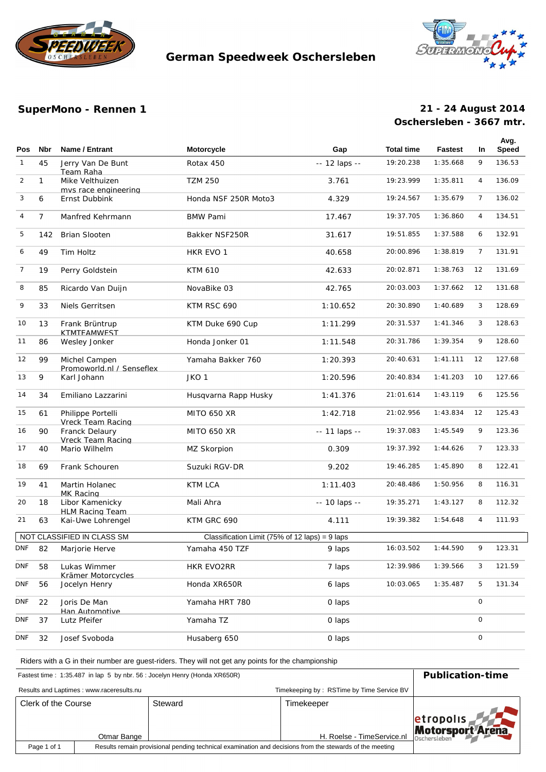



#### **SuperMono - Rennen 1**

#### **Oschersleben - 3667 mtr. 21 - 24 August 2014**

| Pos            | Nbr            | Name / Entrant                             | Motorcycle                                       | Gap                             | <b>Total time</b> | <b>Fastest</b> | In.            | Avg.<br><b>Speed</b> |
|----------------|----------------|--------------------------------------------|--------------------------------------------------|---------------------------------|-------------------|----------------|----------------|----------------------|
| $\mathbf{1}$   | 45             | Jerry Van De Bunt                          | Rotax 450                                        | -- 12 laps --                   | 19:20.238         | 1:35.668       | 9              | 136.53               |
| $\overline{2}$ | $\mathbf{1}$   | Team Raha<br>Mike Velthuizen               | <b>TZM250</b>                                    | 3.761                           | 19:23.999         | 1:35.811       | 4              | 136.09               |
| 3              | 6              | mvs race engineering<br>Ernst Dubbink      | Honda NSF 250R Moto3                             | 4.329                           | 19:24.567         | 1:35.679       | 7              | 136.02               |
| 4              | $\overline{7}$ | Manfred Kehrmann                           | <b>BMW Pami</b>                                  | 17.467                          | 19:37.705         | 1:36.860       | $\overline{4}$ | 134.51               |
| 5              | 142            | <b>Brian Slooten</b>                       | Bakker NSF250R                                   | 31.617                          | 19:51.855         | 1:37.588       | 6              | 132.91               |
| 6              | 49             | Tim Holtz                                  | HKR EVO 1                                        | 40.658<br>20:00.896             |                   | 1:38.819       | $\overline{7}$ | 131.91               |
| 7              | 19             | Perry Goldstein                            | KTM 610                                          | 42.633<br>20:02.871<br>1:38.763 |                   |                | 12             | 131.69               |
| 8              | 85             | Ricardo Van Duijn                          | NovaBike 03                                      | 42.765<br>20:03.003<br>1:37.662 |                   |                | 12             | 131.68               |
| 9              | 33             | Niels Gerritsen                            | KTM RSC 690<br>1:10.652<br>20:30.890<br>1:40.689 |                                 | 3                 | 128.69         |                |                      |
| 10             | 13             | Frank Brüntrup<br>KTMTFAMWFST              | KTM Duke 690 Cup<br>1:11.299<br>20:31.537        |                                 | 1: 41.346         | 3              | 128.63         |                      |
| 11             | 86             | Wesley Jonker                              | Honda Jonker 01                                  |                                 | 20:31.786         | 1:39.354       | 9              | 128.60               |
| 12             | 99             | Michel Campen<br>Promoworld.nl / Senseflex | Yamaha Bakker 760                                | 1:20.393                        | 20:40.631         | 1:41.111       | 12             | 127.68               |
| 13             | 9              | Karl Johann                                | JKO <sub>1</sub>                                 | 1:20.596                        | 20:40.834         | 1:41.203       | 10             | 127.66               |
| 14             | 34             | Emiliano Lazzarini                         | Husgvarna Rapp Husky                             | 1:41.376                        | 21:01.614         | 1:43.119       | 6              | 125.56               |
| 15             | 61             | Philippe Portelli<br>Vreck Team Racing     | <b>MITO 650 XR</b>                               | 1:42.718                        | 21:02.956         | 1:43.834       | 12             | 125.43               |
| 16             | 90             | Franck Delaury<br>Vreck Team Racing        | MITO 650 XR                                      | -- 11 laps --                   | 19:37.083         | 1:45.549       | 9              | 123.36               |
| 17             | 40             | Mario Wilhelm                              | MZ Skorpion                                      | 0.309                           | 19:37.392         | 1:44.626       | 7              | 123.33               |
| 18             | 69             | Frank Schouren                             | Suzuki RGV-DR                                    | 9.202                           | 19:46.285         | 1:45.890       | 8              | 122.41               |
| 19             | 41             | Martin Holanec<br>MK Racing                | <b>KTM LCA</b>                                   | 1:11.403                        | 20:48.486         | 1:50.956       | 8              | 116.31               |
| 20             | 18             | Libor Kamenicky<br><b>HLM Racing Team</b>  | Mali Ahra                                        | $-10$ laps $-$                  | 19:35.271         | 1:43.127       | 8              | 112.32               |
| 21             | 63             | Kai-Uwe Lohrengel                          | KTM GRC 690                                      | 4.111                           | 19:39.382         | 1:54.648       | 4              | 111.93               |
|                |                | NOT CLASSIFIED IN CLASS SM                 | Classification Limit (75% of 12 laps) = $9$ laps |                                 |                   |                |                |                      |
| DNF            | 82             | Marjorie Herve                             | Yamaha 450 TZF                                   | 9 laps                          | 16:03.502         | 1:44.590       | 9              | 123.31               |
| DNF            | 58             | Lukas Wimmer<br>Krämer Motorcycles         | HKR EVO2RR                                       | 7 laps                          | 12:39.986         | 1:39.566       | 3              | 121.59               |
| DNF            | 56             | Jocelyn Henry                              | Honda XR650R                                     | 6 laps                          | 10:03.065         | 1:35.487       | 5              | 131.34               |
| DNF            | 22             | Joris De Man<br>Han Automotive             | Yamaha HRT 780                                   | O laps                          |                   |                | 0              |                      |
| DNF            | 37             | Lutz Pfeifer                               | Yamaha TZ                                        | O laps                          |                   |                | $\mathsf{O}$   |                      |
| DNF            | 32             | Josef Svoboda                              | Husaberg 650                                     | O laps                          |                   |                | $\mathsf O$    |                      |

Riders with a G in their number are guest-riders. They will not get any points for the championship

| Fastest time: 1:35.487 in lap 5 by nbr. 56 : Jocelyn Henry (Honda XR650R)                                              | <b>Publication-time</b> |         |  |                                           |                                               |
|------------------------------------------------------------------------------------------------------------------------|-------------------------|---------|--|-------------------------------------------|-----------------------------------------------|
| Results and Laptimes: www.raceresults.nu                                                                               |                         |         |  | Timekeeping by: RSTime by Time Service BV |                                               |
| Clerk of the Course                                                                                                    | Otmar Bange             | Steward |  | Timekeeper<br>H. Roelse - TimeService.nl  | etropolis<br>Motorsport Arena<br>Oschersleben |
| Results remain provisional pending technical examination and decisions from the stewards of the meeting<br>Page 1 of 1 |                         |         |  |                                           |                                               |